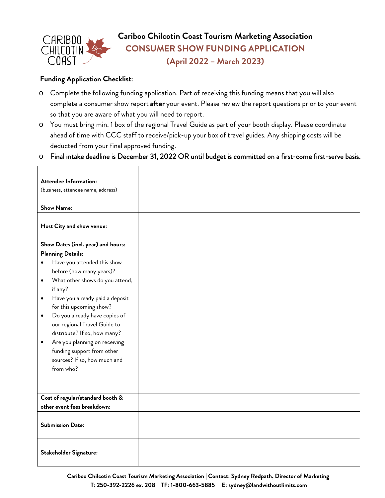

**Cariboo Chilcotin Coast Tourism Marketing Association CONSUMER SHOW FUNDING APPLICATION (April 2022 – March 2023)** 

## **Funding Application Checklist:**

- o Complete the following funding application. Part of receiving this funding means that you will also complete a consumer show report after your event. Please review the report questions prior to your event so that you are aware of what you will need to report.
- o You must bring min. 1 box of the regional Travel Guide as part of your booth display. Please coordinate ahead of time with CCC staff to receive/pick-up your box of travel guides. Any shipping costs will be deducted from your final approved funding.
- o Final intake deadline is December 31, 2022 OR until budget is committed on a first-come first-serve basis.

| <b>Attendee Information:</b>                 |  |
|----------------------------------------------|--|
| (business, attendee name, address)           |  |
|                                              |  |
| <b>Show Name:</b>                            |  |
|                                              |  |
| Host City and show venue:                    |  |
|                                              |  |
| Show Dates (incl. year) and hours:           |  |
| <b>Planning Details:</b>                     |  |
| Have you attended this show<br>٠             |  |
| before (how many years)?                     |  |
| What other shows do you attend,<br>$\bullet$ |  |
| if any?                                      |  |
| Have you already paid a deposit<br>٠         |  |
| for this upcoming show?                      |  |
| Do you already have copies of<br>$\bullet$   |  |
| our regional Travel Guide to                 |  |
| distribute? If so, how many?                 |  |
| Are you planning on receiving<br>٠           |  |
| funding support from other                   |  |
| sources? If so, how much and                 |  |
| from who?                                    |  |
|                                              |  |
|                                              |  |
| Cost of regular/standard booth &             |  |
| other event fees breakdown:                  |  |
|                                              |  |
| <b>Submission Date:</b>                      |  |
|                                              |  |
|                                              |  |
| <b>Stakeholder Signature:</b>                |  |
|                                              |  |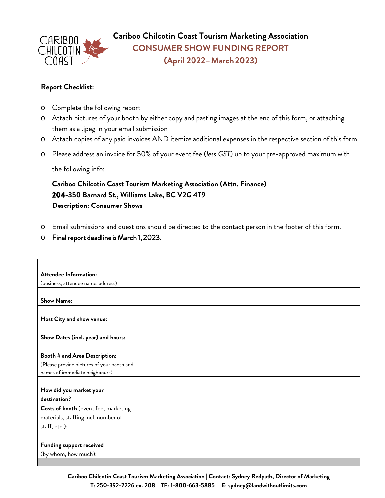

**Cariboo Chilcotin Coast Tourism Marketing Association CONSUMER SHOW FUNDING REPORT (April 2022– March 2023)**

## **Report Checklist:**

- o Complete the following report
- o Attach pictures of your booth by either copy and pasting images at the end of this form, or attaching them as a .jpeg in your email submission
- o Attach copies of any paid invoices AND itemize additional expenses in the respective section of this form
- o Please address an invoice for 50% of your event fee (*less GST*) up to your pre-approved maximum with

the following info:

**Cariboo Chilcotin Coast Tourism Marketing Association (Attn. Finance) 204-350 Barnard St., Williams Lake, BC V2G 4T9 Description: Consumer Shows**

- o Email submissions and questions should be directed to the contact person in the footer of this form.
- o Final report deadline is March 1, 2023.

| <b>Attendee Information:</b>               |  |
|--------------------------------------------|--|
| (business, attendee name, address)         |  |
|                                            |  |
| <b>Show Name:</b>                          |  |
|                                            |  |
| Host City and show venue:                  |  |
|                                            |  |
| Show Dates (incl. year) and hours:         |  |
|                                            |  |
| Booth # and Area Description:              |  |
| (Please provide pictures of your booth and |  |
| names of immediate neighbours)             |  |
|                                            |  |
| How did you market your                    |  |
| destination?                               |  |
| Costs of booth (event fee, marketing       |  |
| materials, staffing incl. number of        |  |
| staff, etc.):                              |  |
|                                            |  |
| <b>Funding support received</b>            |  |
| (by whom, how much):                       |  |
|                                            |  |